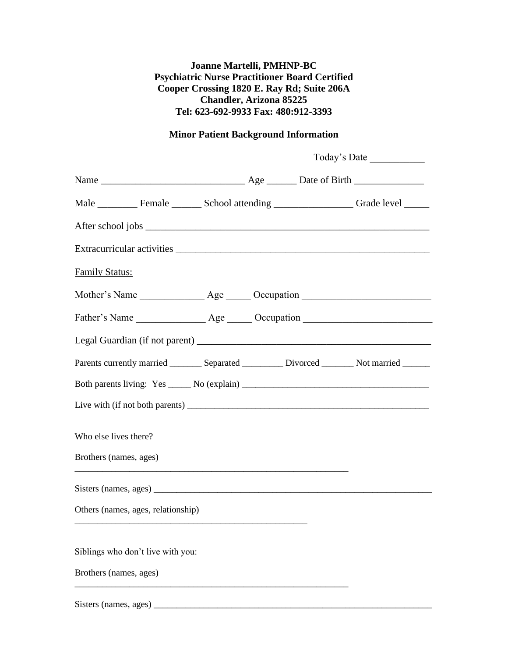## **Joanne Martelli, PMHNP-BC Psychiatric Nurse Practitioner Board Certified Cooper Crossing 1820 E. Ray Rd; Suite 206A Chandler, Arizona 85225 Tel: 623-692-9933 Fax: 480:912-3393**

## **Minor Patient Background Information**

| Today's Date |                                                                                                |  |
|--------------|------------------------------------------------------------------------------------------------|--|
|              |                                                                                                |  |
|              | Male __________ Female ________ School attending ______________________ Grade level _______    |  |
|              |                                                                                                |  |
|              |                                                                                                |  |
|              |                                                                                                |  |
|              |                                                                                                |  |
|              |                                                                                                |  |
|              |                                                                                                |  |
|              | Parents currently married _________ Separated __________ Divorced ________ Not married _______ |  |
|              |                                                                                                |  |
|              |                                                                                                |  |
|              |                                                                                                |  |
|              |                                                                                                |  |
|              |                                                                                                |  |
|              |                                                                                                |  |
|              |                                                                                                |  |
|              |                                                                                                |  |
|              |                                                                                                |  |
|              |                                                                                                |  |

Sisters (names, ages) \_\_\_\_\_\_\_\_\_\_\_\_\_\_\_\_\_\_\_\_\_\_\_\_\_\_\_\_\_\_\_\_\_\_\_\_\_\_\_\_\_\_\_\_\_\_\_\_\_\_\_\_\_\_\_\_\_\_\_\_\_